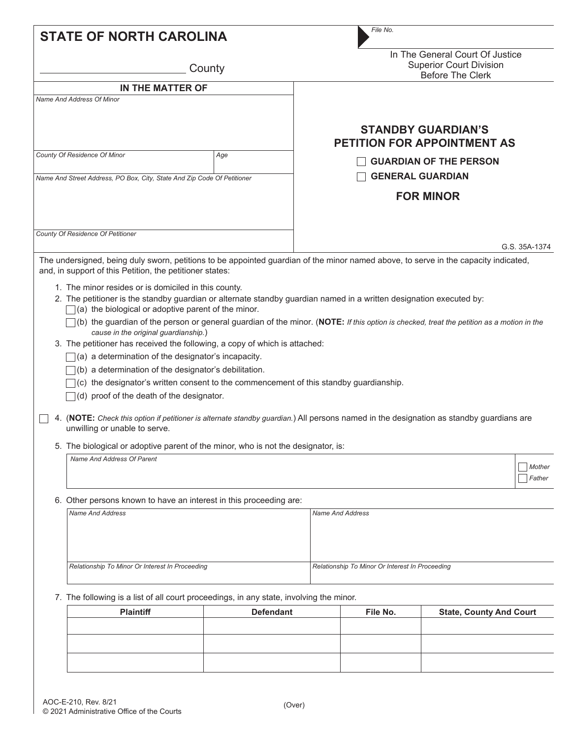| <b>STATE OF NORTH CAROLINA</b> |                                                                                                                                                                                                                                                                                                                                                                                                                                                                                                                                                                                                                                                                                                                                                                                                                                                                                                                                                                                                                                                                                                                                                              |                  | File No.                |                                                                                              |                                                                 |                                |  |  |  |
|--------------------------------|--------------------------------------------------------------------------------------------------------------------------------------------------------------------------------------------------------------------------------------------------------------------------------------------------------------------------------------------------------------------------------------------------------------------------------------------------------------------------------------------------------------------------------------------------------------------------------------------------------------------------------------------------------------------------------------------------------------------------------------------------------------------------------------------------------------------------------------------------------------------------------------------------------------------------------------------------------------------------------------------------------------------------------------------------------------------------------------------------------------------------------------------------------------|------------------|-------------------------|----------------------------------------------------------------------------------------------|-----------------------------------------------------------------|--------------------------------|--|--|--|
|                                | County                                                                                                                                                                                                                                                                                                                                                                                                                                                                                                                                                                                                                                                                                                                                                                                                                                                                                                                                                                                                                                                                                                                                                       |                  |                         | In The General Court Of Justice<br><b>Superior Court Division</b><br><b>Before The Clerk</b> |                                                                 |                                |  |  |  |
|                                | IN THE MATTER OF                                                                                                                                                                                                                                                                                                                                                                                                                                                                                                                                                                                                                                                                                                                                                                                                                                                                                                                                                                                                                                                                                                                                             |                  |                         |                                                                                              |                                                                 |                                |  |  |  |
|                                | Name And Address Of Minor                                                                                                                                                                                                                                                                                                                                                                                                                                                                                                                                                                                                                                                                                                                                                                                                                                                                                                                                                                                                                                                                                                                                    |                  |                         |                                                                                              | <b>STANDBY GUARDIAN'S</b><br><b>PETITION FOR APPOINTMENT AS</b> |                                |  |  |  |
|                                | County Of Residence Of Minor                                                                                                                                                                                                                                                                                                                                                                                                                                                                                                                                                                                                                                                                                                                                                                                                                                                                                                                                                                                                                                                                                                                                 | Age              |                         |                                                                                              |                                                                 |                                |  |  |  |
|                                |                                                                                                                                                                                                                                                                                                                                                                                                                                                                                                                                                                                                                                                                                                                                                                                                                                                                                                                                                                                                                                                                                                                                                              |                  |                         |                                                                                              | <b>GUARDIAN OF THE PERSON</b>                                   |                                |  |  |  |
|                                | Name And Street Address, PO Box, City, State And Zip Code Of Petitioner                                                                                                                                                                                                                                                                                                                                                                                                                                                                                                                                                                                                                                                                                                                                                                                                                                                                                                                                                                                                                                                                                      |                  | <b>GENERAL GUARDIAN</b> |                                                                                              |                                                                 |                                |  |  |  |
|                                |                                                                                                                                                                                                                                                                                                                                                                                                                                                                                                                                                                                                                                                                                                                                                                                                                                                                                                                                                                                                                                                                                                                                                              |                  |                         |                                                                                              | <b>FOR MINOR</b>                                                |                                |  |  |  |
|                                | County Of Residence Of Petitioner                                                                                                                                                                                                                                                                                                                                                                                                                                                                                                                                                                                                                                                                                                                                                                                                                                                                                                                                                                                                                                                                                                                            |                  |                         |                                                                                              |                                                                 | G.S. 35A-1374                  |  |  |  |
|                                | The undersigned, being duly sworn, petitions to be appointed guardian of the minor named above, to serve in the capacity indicated,                                                                                                                                                                                                                                                                                                                                                                                                                                                                                                                                                                                                                                                                                                                                                                                                                                                                                                                                                                                                                          |                  |                         |                                                                                              |                                                                 |                                |  |  |  |
|                                | and, in support of this Petition, the petitioner states:<br>1. The minor resides or is domiciled in this county.<br>2. The petitioner is the standby guardian or alternate standby guardian named in a written designation executed by:<br>$\Box$ (a) the biological or adoptive parent of the minor.<br>$\Box$ (b) the guardian of the person or general guardian of the minor. (NOTE: If this option is checked, treat the petition as a motion in the<br>cause in the original guardianship.)<br>3. The petitioner has received the following, a copy of which is attached:<br>$\Box$ (a) a determination of the designator's incapacity.<br>(b) a determination of the designator's debilitation.<br>$\bigcap$ (c) the designator's written consent to the commencement of this standby guardianship.<br>$\Box$ (d) proof of the death of the designator.<br>4. (NOTE: Check this option if petitioner is alternate standby guardian.) All persons named in the designation as standby guardians are<br>unwilling or unable to serve.<br>5. The biological or adoptive parent of the minor, who is not the designator, is:<br>Name And Address Of Parent |                  |                         |                                                                                              |                                                                 | Mother<br>Father               |  |  |  |
|                                | 6. Other persons known to have an interest in this proceeding are:                                                                                                                                                                                                                                                                                                                                                                                                                                                                                                                                                                                                                                                                                                                                                                                                                                                                                                                                                                                                                                                                                           |                  |                         |                                                                                              |                                                                 |                                |  |  |  |
|                                | <b>Name And Address</b>                                                                                                                                                                                                                                                                                                                                                                                                                                                                                                                                                                                                                                                                                                                                                                                                                                                                                                                                                                                                                                                                                                                                      |                  |                         | <b>Name And Address</b>                                                                      |                                                                 |                                |  |  |  |
|                                | Relationship To Minor Or Interest In Proceeding                                                                                                                                                                                                                                                                                                                                                                                                                                                                                                                                                                                                                                                                                                                                                                                                                                                                                                                                                                                                                                                                                                              |                  |                         | Relationship To Minor Or Interest In Proceeding                                              |                                                                 |                                |  |  |  |
|                                | 7. The following is a list of all court proceedings, in any state, involving the minor.                                                                                                                                                                                                                                                                                                                                                                                                                                                                                                                                                                                                                                                                                                                                                                                                                                                                                                                                                                                                                                                                      |                  |                         |                                                                                              |                                                                 |                                |  |  |  |
|                                | <b>Plaintiff</b>                                                                                                                                                                                                                                                                                                                                                                                                                                                                                                                                                                                                                                                                                                                                                                                                                                                                                                                                                                                                                                                                                                                                             | <b>Defendant</b> |                         | File No.                                                                                     |                                                                 | <b>State, County And Court</b> |  |  |  |
|                                |                                                                                                                                                                                                                                                                                                                                                                                                                                                                                                                                                                                                                                                                                                                                                                                                                                                                                                                                                                                                                                                                                                                                                              |                  |                         |                                                                                              |                                                                 |                                |  |  |  |
|                                |                                                                                                                                                                                                                                                                                                                                                                                                                                                                                                                                                                                                                                                                                                                                                                                                                                                                                                                                                                                                                                                                                                                                                              |                  |                         |                                                                                              |                                                                 |                                |  |  |  |
|                                |                                                                                                                                                                                                                                                                                                                                                                                                                                                                                                                                                                                                                                                                                                                                                                                                                                                                                                                                                                                                                                                                                                                                                              |                  |                         |                                                                                              |                                                                 |                                |  |  |  |
|                                |                                                                                                                                                                                                                                                                                                                                                                                                                                                                                                                                                                                                                                                                                                                                                                                                                                                                                                                                                                                                                                                                                                                                                              |                  |                         |                                                                                              |                                                                 |                                |  |  |  |